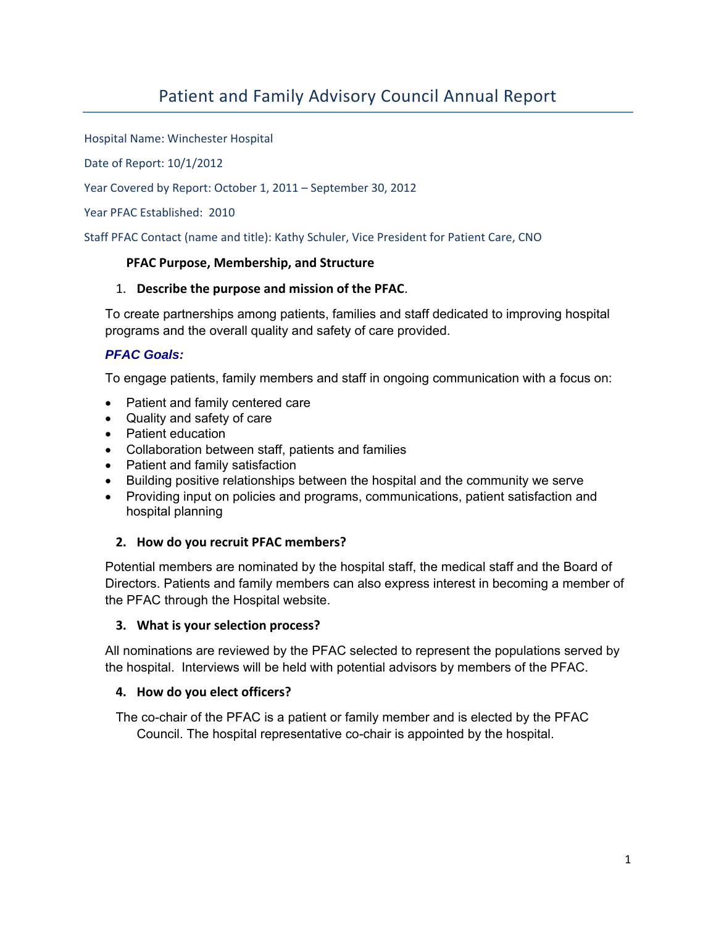# Patient and Family Advisory Council Annual Report

Hospital Name: Winchester Hospital

Date of Report: 10/1/2012

Year Covered by Report: October 1, 2011 – September 30, 2012

Year PFAC Established: 2010

Staff PFAC Contact (name and title): Kathy Schuler, Vice President for Patient Care, CNO

#### **PFAC Purpose, Membership, and Structure**

#### 1. **Describe the purpose and mission of the PFAC**.

To create partnerships among patients, families and staff dedicated to improving hospital programs and the overall quality and safety of care provided.

#### *PFAC Goals:*

To engage patients, family members and staff in ongoing communication with a focus on:

- Patient and family centered care
- Quality and safety of care
- Patient education
- Collaboration between staff, patients and families
- Patient and family satisfaction
- Building positive relationships between the hospital and the community we serve
- Providing input on policies and programs, communications, patient satisfaction and hospital planning

#### **2. How do you recruit PFAC members?**

Potential members are nominated by the hospital staff, the medical staff and the Board of Directors. Patients and family members can also express interest in becoming a member of the PFAC through the Hospital website.

#### **3. What is your selection process?**

All nominations are reviewed by the PFAC selected to represent the populations served by the hospital. Interviews will be held with potential advisors by members of the PFAC.

#### **4. How do you elect officers?**

The co-chair of the PFAC is a patient or family member and is elected by the PFAC Council. The hospital representative co-chair is appointed by the hospital.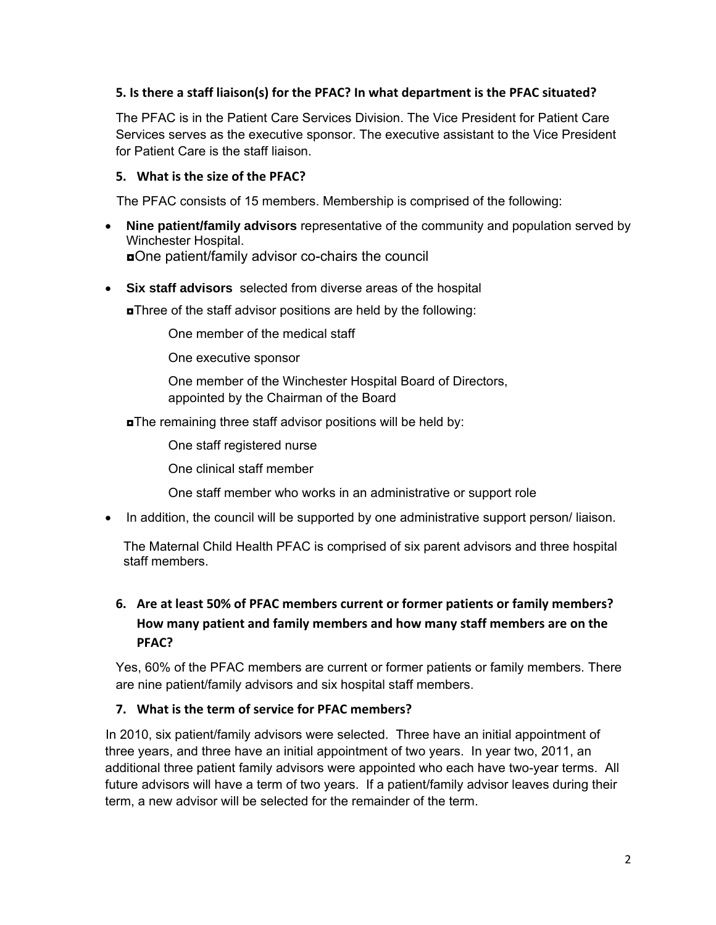#### **5. Is there a staff liaison(s) for the PFAC? In what department is the PFAC situated?**

The PFAC is in the Patient Care Services Division. The Vice President for Patient Care Services serves as the executive sponsor. The executive assistant to the Vice President for Patient Care is the staff liaison.

#### **5. What is the size of the PFAC?**

The PFAC consists of 15 members. Membership is comprised of the following:

- **Nine patient/family advisors** representative of the community and population served by Winchester Hospital. ◘One patient/family advisor co-chairs the council
- **Six staff advisors** selected from diverse areas of the hospital

◘Three of the staff advisor positions are held by the following:

One member of the medical staff

One executive sponsor

 One member of the Winchester Hospital Board of Directors, appointed by the Chairman of the Board

◘The remaining three staff advisor positions will be held by:

One staff registered nurse

One clinical staff member

One staff member who works in an administrative or support role

• In addition, the council will be supported by one administrative support person/liaison.

 The Maternal Child Health PFAC is comprised of six parent advisors and three hospital staff members.

# **6. Are at least 50% of PFAC members current or former patients or family members? How many patient and family members and how many staff members are on the PFAC?**

Yes, 60% of the PFAC members are current or former patients or family members. There are nine patient/family advisors and six hospital staff members.

### **7. What is the term of service for PFAC members?**

 In 2010, six patient/family advisors were selected. Three have an initial appointment of three years, and three have an initial appointment of two years. In year two, 2011, an additional three patient family advisors were appointed who each have two-year terms. All future advisors will have a term of two years. If a patient/family advisor leaves during their term, a new advisor will be selected for the remainder of the term.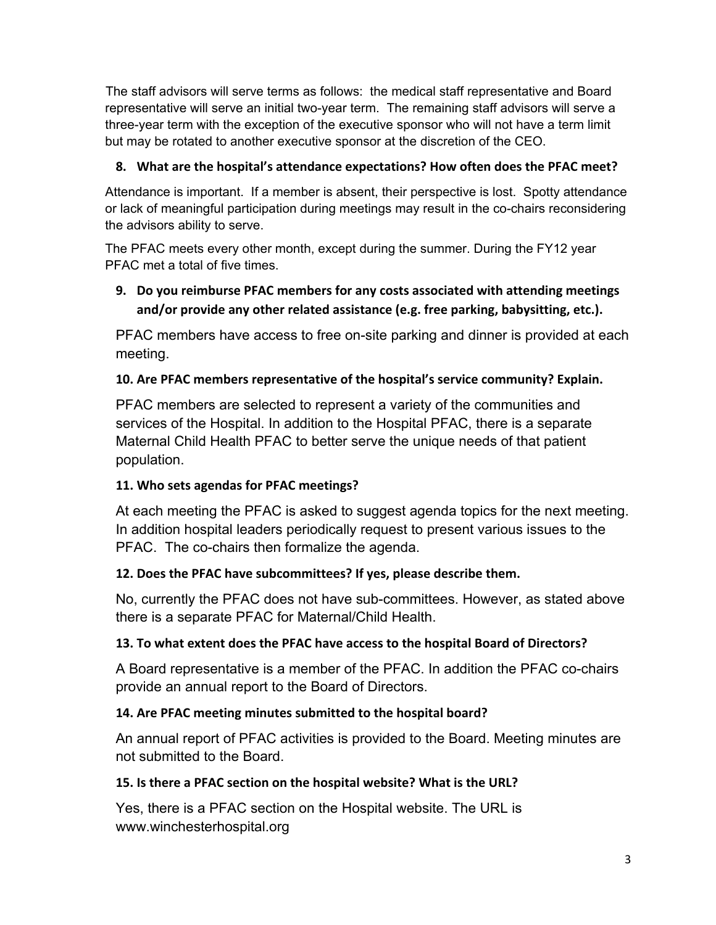The staff advisors will serve terms as follows: the medical staff representative and Board representative will serve an initial two-year term. The remaining staff advisors will serve a three-year term with the exception of the executive sponsor who will not have a term limit but may be rotated to another executive sponsor at the discretion of the CEO.

# **8. What are the hospital's attendance expectations? How often does the PFAC meet?**

Attendance is important. If a member is absent, their perspective is lost. Spotty attendance or lack of meaningful participation during meetings may result in the co-chairs reconsidering the advisors ability to serve.

The PFAC meets every other month, except during the summer. During the FY12 year PFAC met a total of five times.

# **9. Do you reimburse PFAC members for any costs associated with attending meetings and/or provide any other related assistance (e.g. free parking, babysitting, etc.).**

PFAC members have access to free on-site parking and dinner is provided at each meeting.

# **10. Are PFAC members representative of the hospital's service community? Explain.**

PFAC members are selected to represent a variety of the communities and services of the Hospital. In addition to the Hospital PFAC, there is a separate Maternal Child Health PFAC to better serve the unique needs of that patient population.

# **11. Who sets agendas for PFAC meetings?**

At each meeting the PFAC is asked to suggest agenda topics for the next meeting. In addition hospital leaders periodically request to present various issues to the PFAC. The co-chairs then formalize the agenda.

# **12. Does the PFAC have subcommittees? If yes, please describe them.**

No, currently the PFAC does not have sub-committees. However, as stated above there is a separate PFAC for Maternal/Child Health.

# **13. To what extent does the PFAC have access to the hospital Board of Directors?**

A Board representative is a member of the PFAC. In addition the PFAC co-chairs provide an annual report to the Board of Directors.

# **14. Are PFAC meeting minutes submitted to the hospital board?**

An annual report of PFAC activities is provided to the Board. Meeting minutes are not submitted to the Board.

# **15. Is there a PFAC section on the hospital website? What is the URL?**

Yes, there is a PFAC section on the Hospital website. The URL is www.winchesterhospital.org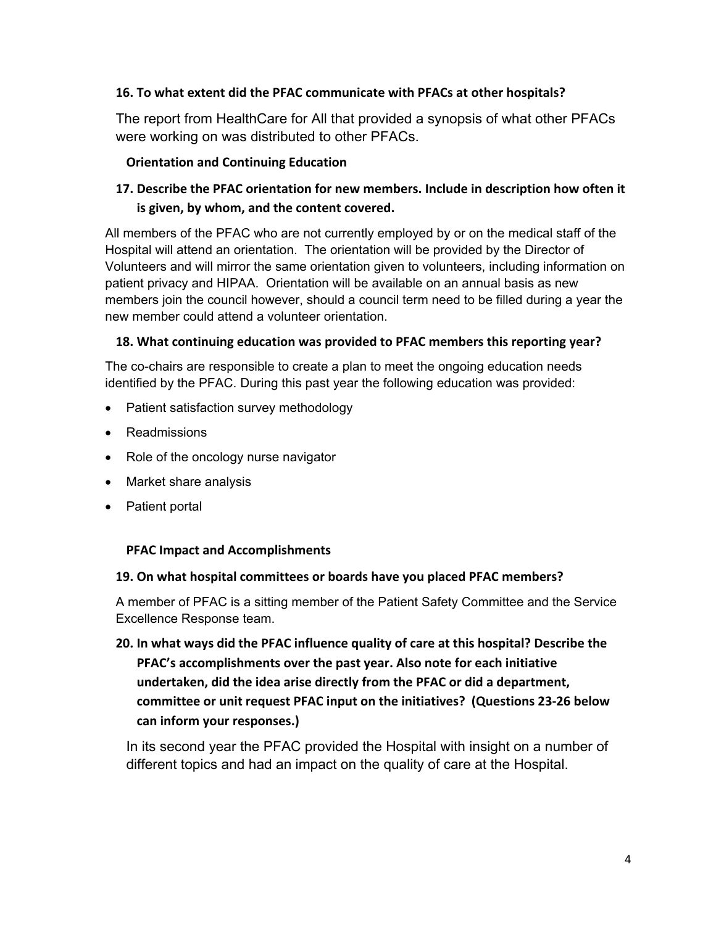### **16. To what extent did the PFAC communicate with PFACs at other hospitals?**

The report from HealthCare for All that provided a synopsis of what other PFACs were working on was distributed to other PFACs.

### **Orientation and Continuing Education**

# **17. Describe the PFAC orientation for new members. Include in description how often it is given, by whom, and the content covered.**

All members of the PFAC who are not currently employed by or on the medical staff of the Hospital will attend an orientation. The orientation will be provided by the Director of Volunteers and will mirror the same orientation given to volunteers, including information on patient privacy and HIPAA. Orientation will be available on an annual basis as new members join the council however, should a council term need to be filled during a year the new member could attend a volunteer orientation.

### **18. What continuing education was provided to PFAC members this reporting year?**

The co-chairs are responsible to create a plan to meet the ongoing education needs identified by the PFAC. During this past year the following education was provided:

- Patient satisfaction survey methodology
- Readmissions
- Role of the oncology nurse navigator
- Market share analysis
- Patient portal

### **PFAC Impact and Accomplishments**

### **19. On what hospital committees or boards have you placed PFAC members?**

A member of PFAC is a sitting member of the Patient Safety Committee and the Service Excellence Response team.

**20. In what ways did the PFAC influence quality of care at this hospital? Describe the PFAC's accomplishments over the past year. Also note for each initiative undertaken, did the idea arise directly from the PFAC or did a department, committee or unit request PFAC input on the initiatives? (Questions 23‐26 below can inform your responses.)**

In its second year the PFAC provided the Hospital with insight on a number of different topics and had an impact on the quality of care at the Hospital.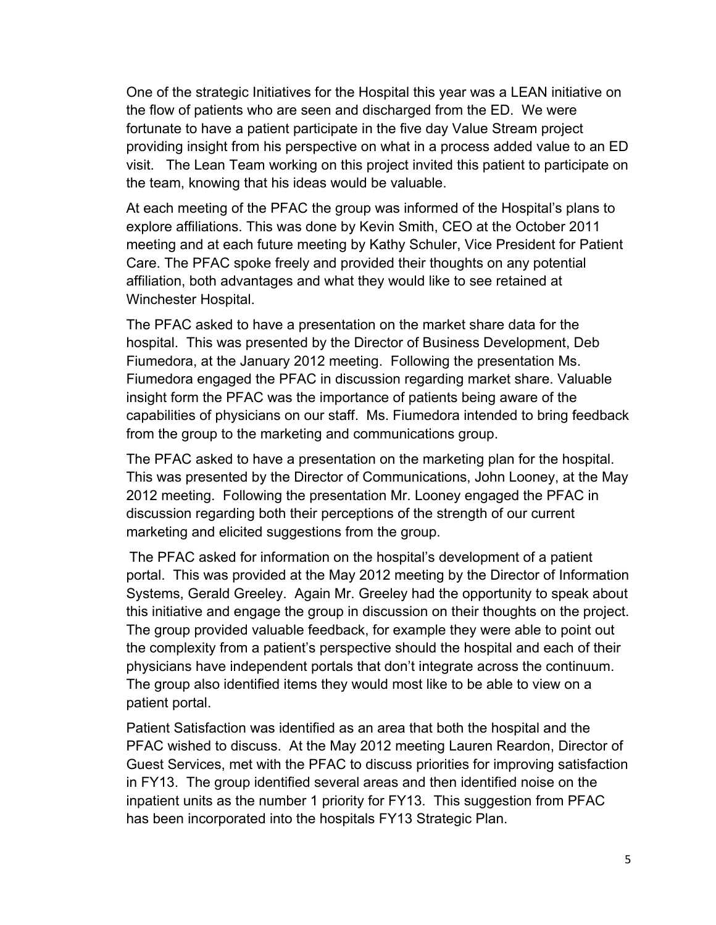One of the strategic Initiatives for the Hospital this year was a LEAN initiative on the flow of patients who are seen and discharged from the ED. We were fortunate to have a patient participate in the five day Value Stream project providing insight from his perspective on what in a process added value to an ED visit. The Lean Team working on this project invited this patient to participate on the team, knowing that his ideas would be valuable.

At each meeting of the PFAC the group was informed of the Hospital's plans to explore affiliations. This was done by Kevin Smith, CEO at the October 2011 meeting and at each future meeting by Kathy Schuler, Vice President for Patient Care. The PFAC spoke freely and provided their thoughts on any potential affiliation, both advantages and what they would like to see retained at Winchester Hospital.

The PFAC asked to have a presentation on the market share data for the hospital. This was presented by the Director of Business Development, Deb Fiumedora, at the January 2012 meeting. Following the presentation Ms. Fiumedora engaged the PFAC in discussion regarding market share. Valuable insight form the PFAC was the importance of patients being aware of the capabilities of physicians on our staff. Ms. Fiumedora intended to bring feedback from the group to the marketing and communications group.

The PFAC asked to have a presentation on the marketing plan for the hospital. This was presented by the Director of Communications, John Looney, at the May 2012 meeting. Following the presentation Mr. Looney engaged the PFAC in discussion regarding both their perceptions of the strength of our current marketing and elicited suggestions from the group.

The PFAC asked for information on the hospital's development of a patient portal. This was provided at the May 2012 meeting by the Director of Information Systems, Gerald Greeley. Again Mr. Greeley had the opportunity to speak about this initiative and engage the group in discussion on their thoughts on the project. The group provided valuable feedback, for example they were able to point out the complexity from a patient's perspective should the hospital and each of their physicians have independent portals that don't integrate across the continuum. The group also identified items they would most like to be able to view on a patient portal.

Patient Satisfaction was identified as an area that both the hospital and the PFAC wished to discuss. At the May 2012 meeting Lauren Reardon, Director of Guest Services, met with the PFAC to discuss priorities for improving satisfaction in FY13. The group identified several areas and then identified noise on the inpatient units as the number 1 priority for FY13. This suggestion from PFAC has been incorporated into the hospitals FY13 Strategic Plan.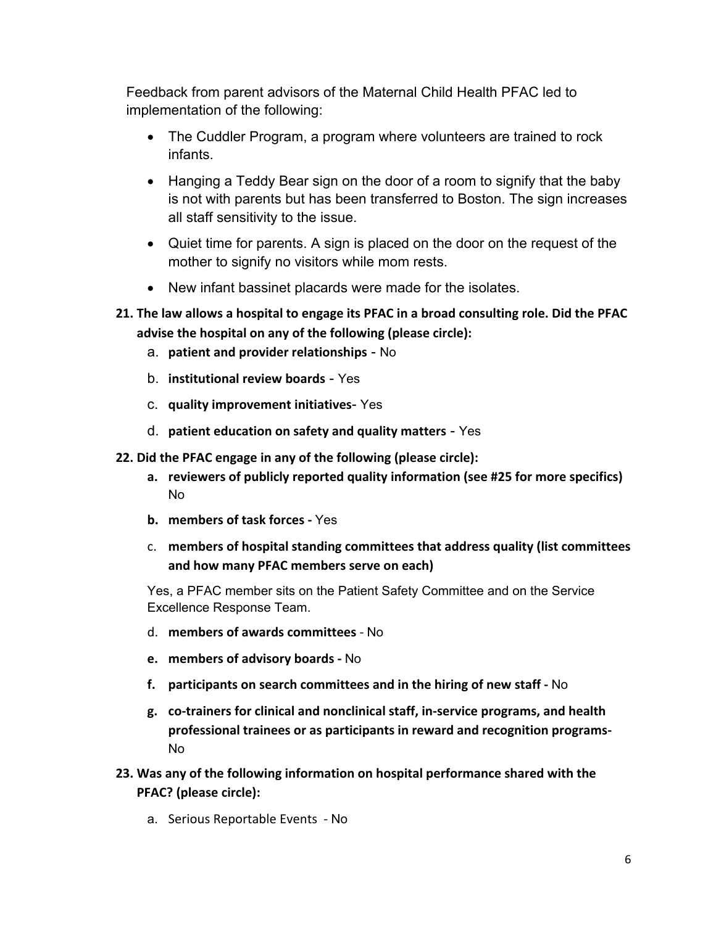Feedback from parent advisors of the Maternal Child Health PFAC led to implementation of the following:

- The Cuddler Program, a program where volunteers are trained to rock infants.
- Hanging a Teddy Bear sign on the door of a room to signify that the baby is not with parents but has been transferred to Boston. The sign increases all staff sensitivity to the issue.
- Quiet time for parents. A sign is placed on the door on the request of the mother to signify no visitors while mom rests.
- New infant bassinet placards were made for the isolates.
- **21. The law allows a hospital to engage its PFAC in a broad consulting role. Did the PFAC advise the hospital on any of the following (please circle):**
	- a. **patient and provider relationships** No
	- b. **institutional review boards** Yes
	- c. **quality improvement initiatives** Yes
	- d. **patient education on safety and quality matters** Yes
- **22. Did the PFAC engage in any of the following (please circle):** 
	- **a. reviewers of publicly reported quality information (see #25 for more specifics)** No
	- **b. members of task forces ‐** Yes
	- c. **members of hospital standing committees that address quality (list committees and how many PFAC members serve on each)**

Yes, a PFAC member sits on the Patient Safety Committee and on the Service Excellence Response Team.

- d. **members of awards committees** ‐ No
- **e. members of advisory boards ‐** No
- **f. participants on search committees and in the hiring of new staff ‐** No
- **g. co‐trainers for clinical and nonclinical staff, in‐service programs, and health professional trainees or as participants in reward and recognition programs‐**  No
- **23. Was any of the following information on hospital performance shared with the PFAC? (please circle):**
	- a. Serious Reportable Events ‐ No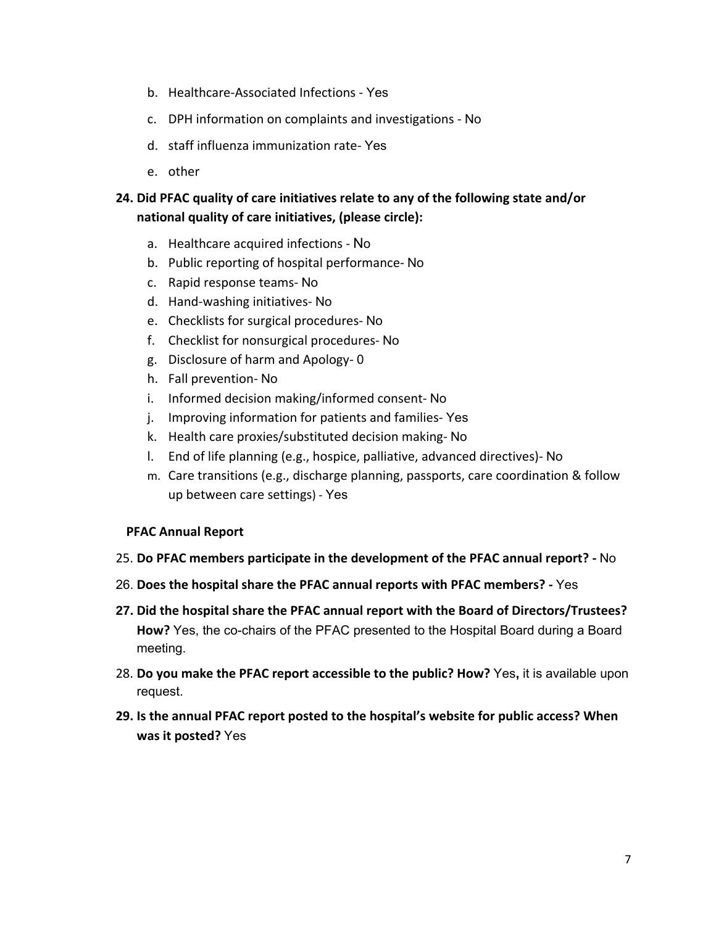- b. Healthcare‐Associated Infections ‐ Yes
- c. DPH information on complaints and investigations ‐ No
- d. staff influenza immunization rate‐ Yes
- e. other

# **24. Did PFAC quality of care initiatives relate to any of the following state and/or national quality of care initiatives, (please circle):**

- a. Healthcare acquired infections ‐ No
- b. Public reporting of hospital performance‐ No
- c. Rapid response teams‐ No
- d. Hand‐washing initiatives‐ No
- e. Checklists for surgical procedures‐ No
- f. Checklist for nonsurgical procedures‐ No
- g. Disclosure of harm and Apology‐ 0
- h. Fall prevention‐ No
- i. Informed decision making/informed consent‐ No
- j. Improving information for patients and families-Yes
- k. Health care proxies/substituted decision making‐ No
- l. End of life planning (e.g., hospice, palliative, advanced directives)‐ No
- m. Care transitions (e.g., discharge planning, passports, care coordination & follow up between care settings) ‐ Yes

#### **PFAC Annual Report**

- 25. **Do PFAC members participate in the development of the PFAC annual report? ‐** No
- 26. **Does the hospital share the PFAC annual reports with PFAC members? ‐** Yes
- **27. Did the hospital share the PFAC annual report with the Board of Directors/Trustees? How?** Yes, the co-chairs of the PFAC presented to the Hospital Board during a Board meeting.
- 28. **Do you make the PFAC report accessible to the public? How?** Yes**,** it is available upon request.
- **29. Is the annual PFAC report posted to the hospital's website for public access? When was it posted?** Yes